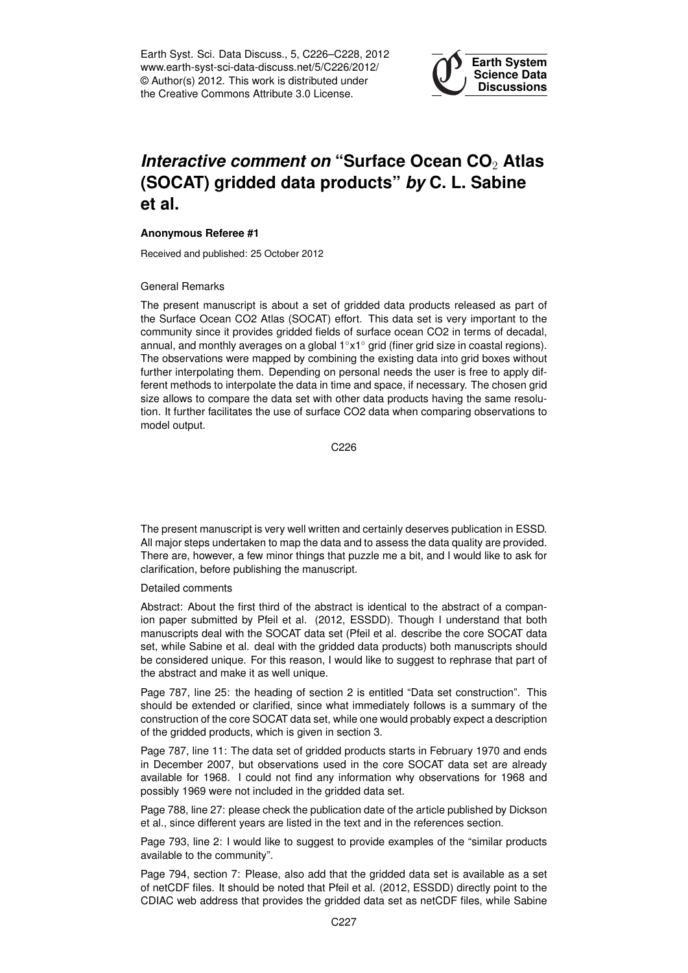Earth Syst. Sci. Data Discuss., 5, C226–C228, 2012 www.earth-syst-sci-data-discuss.net/5/C226/2012/ © Author(s) 2012. This work is distributed under the Creative Commons Attribute 3.0 License.



## *Interactive comment on* **"Surface Ocean CO**<sup>2</sup> **Atlas (SOCAT) gridded data products"** *by* **C. L. Sabine et al.**

## **Anonymous Referee #1**

Received and published: 25 October 2012

## General Remarks

The present manuscript is about a set of gridded data products released as part of the Surface Ocean CO2 Atlas (SOCAT) effort. This data set is very important to the community since it provides gridded fields of surface ocean CO2 in terms of decadal, annual, and monthly averages on a global 1◦x1◦ grid (finer grid size in coastal regions). The observations were mapped by combining the existing data into grid boxes without further interpolating them. Depending on personal needs the user is free to apply different methods to interpolate the data in time and space, if necessary. The chosen grid size allows to compare the data set with other data products having the same resolution. It further facilitates the use of surface CO2 data when comparing observations to model output.

C<sub>226</sub>

The present manuscript is very well written and certainly deserves publication in ESSD. All major steps undertaken to map the data and to assess the data quality are provided. There are, however, a few minor things that puzzle me a bit, and I would like to ask for clarification, before publishing the manuscript.

## Detailed comments

Abstract: About the first third of the abstract is identical to the abstract of a companion paper submitted by Pfeil et al. (2012, ESSDD). Though I understand that both manuscripts deal with the SOCAT data set (Pfeil et al. describe the core SOCAT data set, while Sabine et al. deal with the gridded data products) both manuscripts should be considered unique. For this reason, I would like to suggest to rephrase that part of the abstract and make it as well unique.

Page 787, line 25: the heading of section 2 is entitled "Data set construction". This should be extended or clarified, since what immediately follows is a summary of the construction of the core SOCAT data set, while one would probably expect a description of the gridded products, which is given in section 3.

Page 787, line 11: The data set of gridded products starts in February 1970 and ends in December 2007, but observations used in the core SOCAT data set are already available for 1968. I could not find any information why observations for 1968 and possibly 1969 were not included in the gridded data set.

Page 788, line 27: please check the publication date of the article published by Dickson et al., since different years are listed in the text and in the references section.

Page 793, line 2: I would like to suggest to provide examples of the "similar products available to the community".

Page 794, section 7: Please, also add that the gridded data set is available as a set of netCDF files. It should be noted that Pfeil et al. (2012, ESSDD) directly point to the CDIAC web address that provides the gridded data set as netCDF files, while Sabine